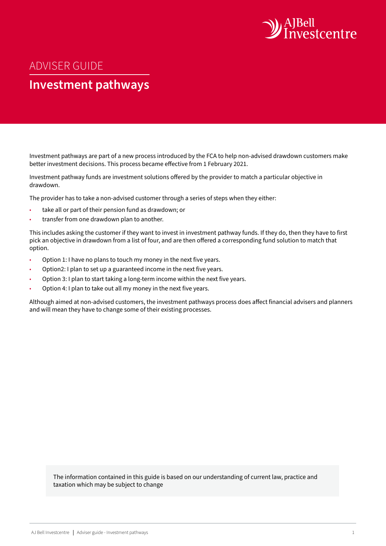

# ADVISER GUIDE

# **Investment pathways**

Investment pathways are part of a new process introduced by the FCA to help non-advised drawdown customers make better investment decisions. This process became effective from 1 February 2021.

Investment pathway funds are investment solutions offered by the provider to match a particular objective in drawdown.

The provider has to take a non-advised customer through a series of steps when they either:

- take all or part of their pension fund as drawdown; or
- transfer from one drawdown plan to another.

This includes asking the customer if they want to invest in investment pathway funds. If they do, then they have to first pick an objective in drawdown from a list of four, and are then offered a corresponding fund solution to match that option.

- Option 1: I have no plans to touch my money in the next five years.
- Option2: I plan to set up a guaranteed income in the next five years.
- Option 3: I plan to start taking a long-term income within the next five years.
- Option 4: I plan to take out all my money in the next five years.

Although aimed at non-advised customers, the investment pathways process does affect financial advisers and planners and will mean they have to change some of their existing processes.

The information contained in this guide is based on our understanding of current law, practice and taxation which may be subject to change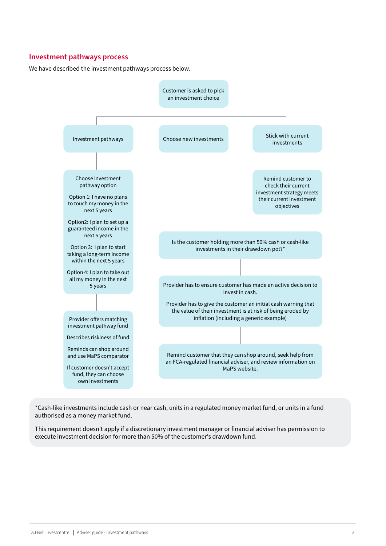#### **Investment pathways process**

We have described the investment pathways process below.



\*Cash-like investments include cash or near cash, units in a regulated money market fund, or units in a fund authorised as a money market fund.

This requirement doesn't apply if a discretionary investment manager or financial adviser has permission to execute investment decision for more than 50% of the customer's drawdown fund.